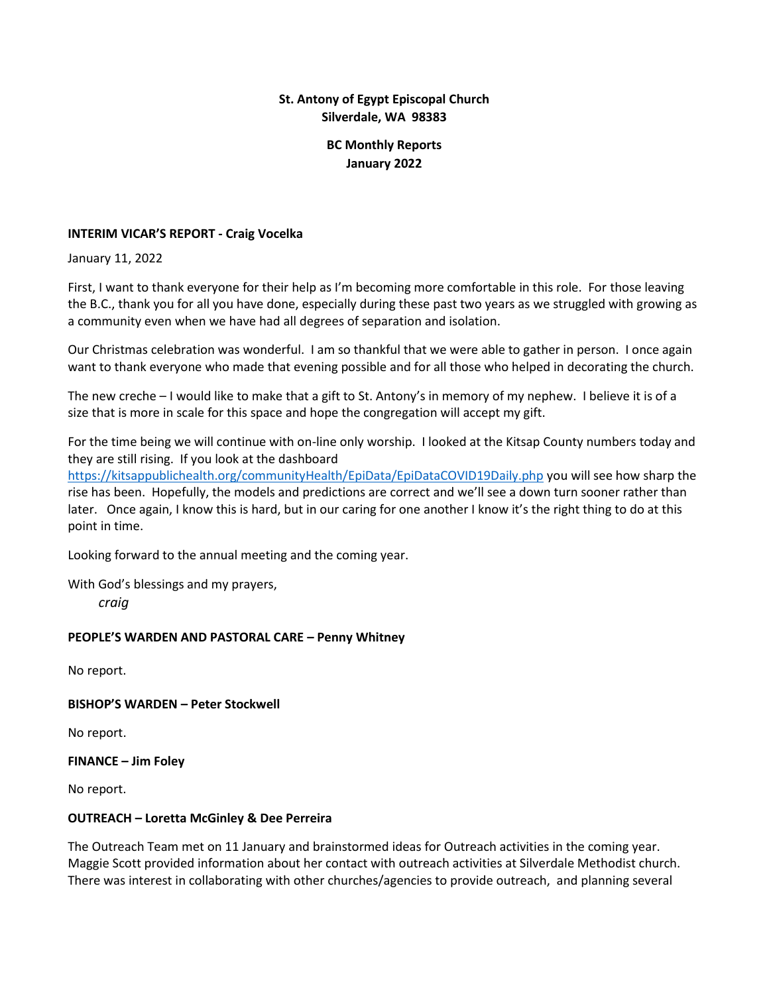# **St. Antony of Egypt Episcopal Church Silverdale, WA 98383**

# **BC Monthly Reports January 2022**

## **INTERIM VICAR'S REPORT - Craig Vocelka**

January 11, 2022

First, I want to thank everyone for their help as I'm becoming more comfortable in this role. For those leaving the B.C., thank you for all you have done, especially during these past two years as we struggled with growing as a community even when we have had all degrees of separation and isolation.

Our Christmas celebration was wonderful. I am so thankful that we were able to gather in person. I once again want to thank everyone who made that evening possible and for all those who helped in decorating the church.

The new creche – I would like to make that a gift to St. Antony's in memory of my nephew. I believe it is of a size that is more in scale for this space and hope the congregation will accept my gift.

For the time being we will continue with on-line only worship. I looked at the Kitsap County numbers today and they are still rising. If you look at the dashboard

<https://kitsappublichealth.org/communityHealth/EpiData/EpiDataCOVID19Daily.php> you will see how sharp the rise has been. Hopefully, the models and predictions are correct and we'll see a down turn sooner rather than later. Once again, I know this is hard, but in our caring for one another I know it's the right thing to do at this point in time.

Looking forward to the annual meeting and the coming year.

With God's blessings and my prayers,

 *craig*

## **PEOPLE'S WARDEN AND PASTORAL CARE – Penny Whitney**

No report.

**BISHOP'S WARDEN – Peter Stockwell**

No report.

**FINANCE – Jim Foley**

No report.

## **OUTREACH – Loretta McGinley & Dee Perreira**

The Outreach Team met on 11 January and brainstormed ideas for Outreach activities in the coming year. Maggie Scott provided information about her contact with outreach activities at Silverdale Methodist church. There was interest in collaborating with other churches/agencies to provide outreach, and planning several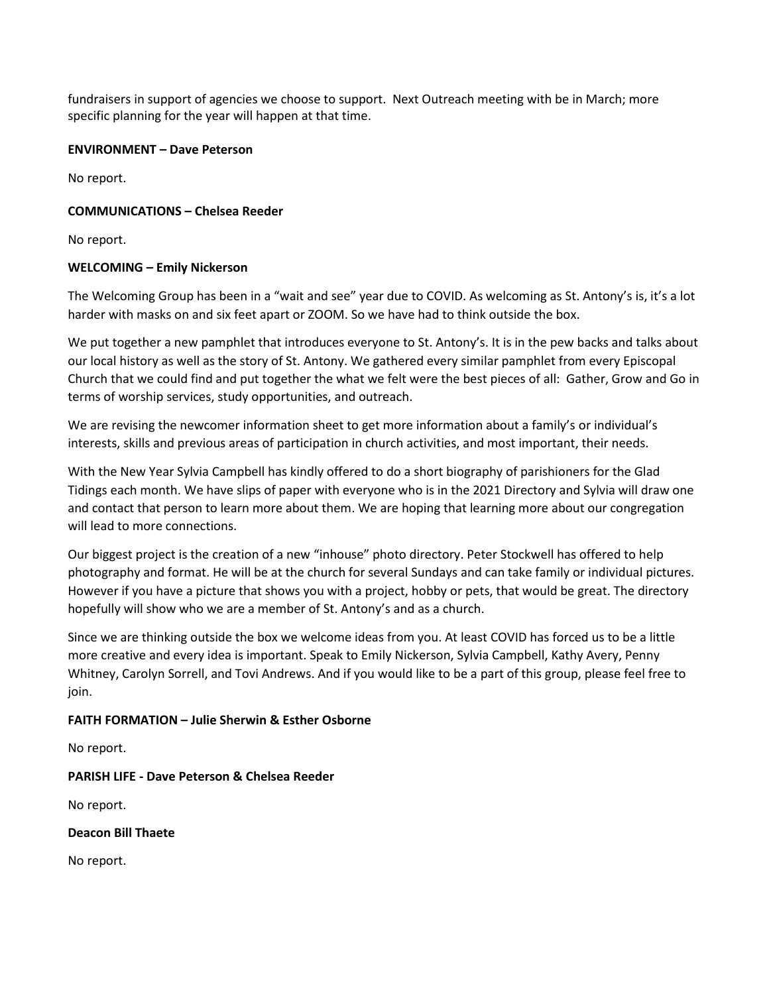fundraisers in support of agencies we choose to support. Next Outreach meeting with be in March; more specific planning for the year will happen at that time.

#### **ENVIRONMENT – Dave Peterson**

No report.

## **COMMUNICATIONS – Chelsea Reeder**

No report.

## **WELCOMING – Emily Nickerson**

The Welcoming Group has been in a "wait and see" year due to COVID. As welcoming as St. Antony's is, it's a lot harder with masks on and six feet apart or ZOOM. So we have had to think outside the box.

We put together a new pamphlet that introduces everyone to St. Antony's. It is in the pew backs and talks about our local history as well as the story of St. Antony. We gathered every similar pamphlet from every Episcopal Church that we could find and put together the what we felt were the best pieces of all: Gather, Grow and Go in terms of worship services, study opportunities, and outreach.

We are revising the newcomer information sheet to get more information about a family's or individual's interests, skills and previous areas of participation in church activities, and most important, their needs.

With the New Year Sylvia Campbell has kindly offered to do a short biography of parishioners for the Glad Tidings each month. We have slips of paper with everyone who is in the 2021 Directory and Sylvia will draw one and contact that person to learn more about them. We are hoping that learning more about our congregation will lead to more connections.

Our biggest project is the creation of a new "inhouse" photo directory. Peter Stockwell has offered to help photography and format. He will be at the church for several Sundays and can take family or individual pictures. However if you have a picture that shows you with a project, hobby or pets, that would be great. The directory hopefully will show who we are a member of St. Antony's and as a church.

Since we are thinking outside the box we welcome ideas from you. At least COVID has forced us to be a little more creative and every idea is important. Speak to Emily Nickerson, Sylvia Campbell, Kathy Avery, Penny Whitney, Carolyn Sorrell, and Tovi Andrews. And if you would like to be a part of this group, please feel free to join.

## **FAITH FORMATION – Julie Sherwin & Esther Osborne**

No report.

## **PARISH LIFE - Dave Peterson & Chelsea Reeder**

No report.

## **Deacon Bill Thaete**

No report.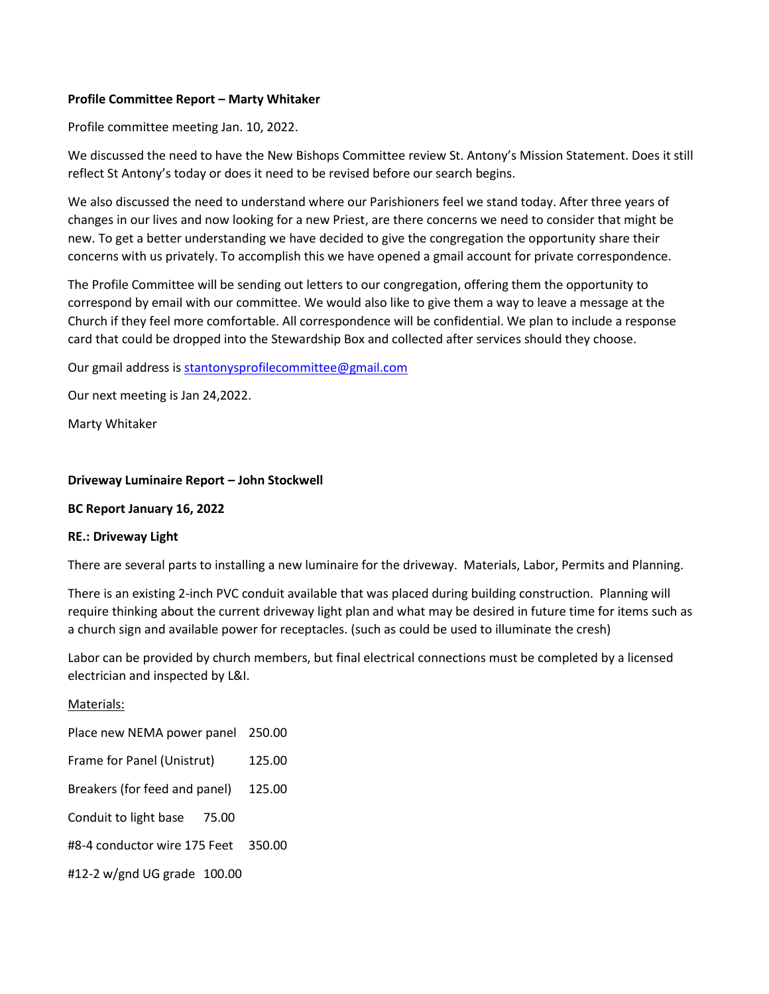#### **Profile Committee Report – Marty Whitaker**

Profile committee meeting Jan. 10, 2022.

We discussed the need to have the New Bishops Committee review St. Antony's Mission Statement. Does it still reflect St Antony's today or does it need to be revised before our search begins.

We also discussed the need to understand where our Parishioners feel we stand today. After three years of changes in our lives and now looking for a new Priest, are there concerns we need to consider that might be new. To get a better understanding we have decided to give the congregation the opportunity share their concerns with us privately. To accomplish this we have opened a gmail account for private correspondence.

The Profile Committee will be sending out letters to our congregation, offering them the opportunity to correspond by email with our committee. We would also like to give them a way to leave a message at the Church if they feel more comfortable. All correspondence will be confidential. We plan to include a response card that could be dropped into the Stewardship Box and collected after services should they choose.

Our gmail address i[s stantonysprofilecommittee@gmail.com](mailto:stantonysprofilecommittee@gmail.com)

Our next meeting is Jan 24,2022.

Marty Whitaker

#### **Driveway Luminaire Report – John Stockwell**

#### **BC Report January 16, 2022**

#### **RE.: Driveway Light**

There are several parts to installing a new luminaire for the driveway. Materials, Labor, Permits and Planning.

There is an existing 2-inch PVC conduit available that was placed during building construction. Planning will require thinking about the current driveway light plan and what may be desired in future time for items such as a church sign and available power for receptacles. (such as could be used to illuminate the cresh)

Labor can be provided by church members, but final electrical connections must be completed by a licensed electrician and inspected by L&I.

Materials: Place new NEMA power panel 250.00 Frame for Panel (Unistrut) 125.00 Breakers (for feed and panel) 125.00 Conduit to light base 75.00 #8-4 conductor wire 175 Feet 350.00 #12-2 w/gnd UG grade 100.00